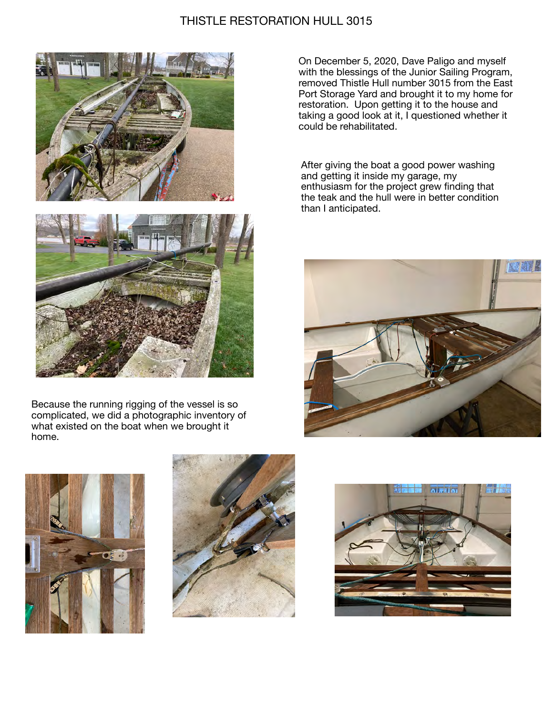## THISTLE RESTORATION HULL 3015





Because the running rigging of the vessel is so complicated, we did a photographic inventory of what existed on the boat when we brought it home.

On December 5, 2020, Dave Paligo and myself with the blessings of the Junior Sailing Program, removed Thistle Hull number 3015 from the East Port Storage Yard and brought it to my home for restoration. Upon getting it to the house and taking a good look at it, I questioned whether it could be rehabilitated.

After giving the boat a good power washing and getting it inside my garage, my enthusiasm for the project grew finding that the teak and the hull were in better condition than I anticipated.







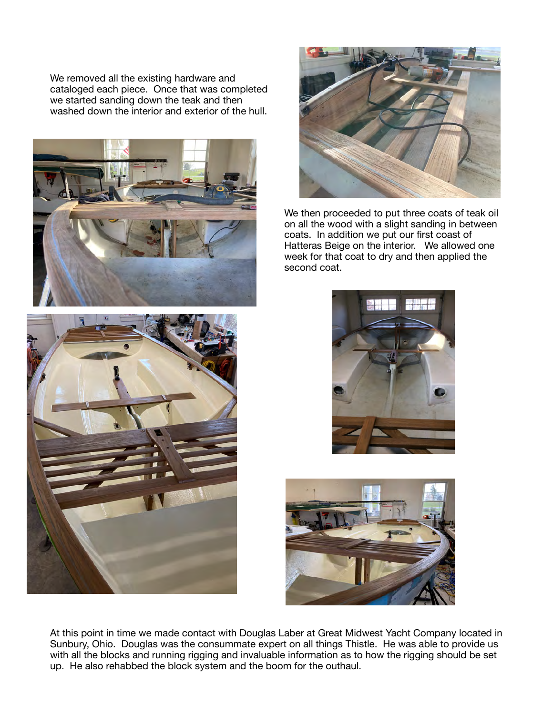We removed all the existing hardware and cataloged each piece. Once that was completed we started sanding down the teak and then washed down the interior and exterior of the hull.





We then proceeded to put three coats of teak oil on all the wood with a slight sanding in between coats. In addition we put our first coast of Hatteras Beige on the interior. We allowed one week for that coat to dry and then applied the second coat.





At this point in time we made contact with Douglas Laber at Great Midwest Yacht Company located in Sunbury, Ohio. Douglas was the consummate expert on all things Thistle. He was able to provide us with all the blocks and running rigging and invaluable information as to how the rigging should be set up. He also rehabbed the block system and the boom for the outhaul.

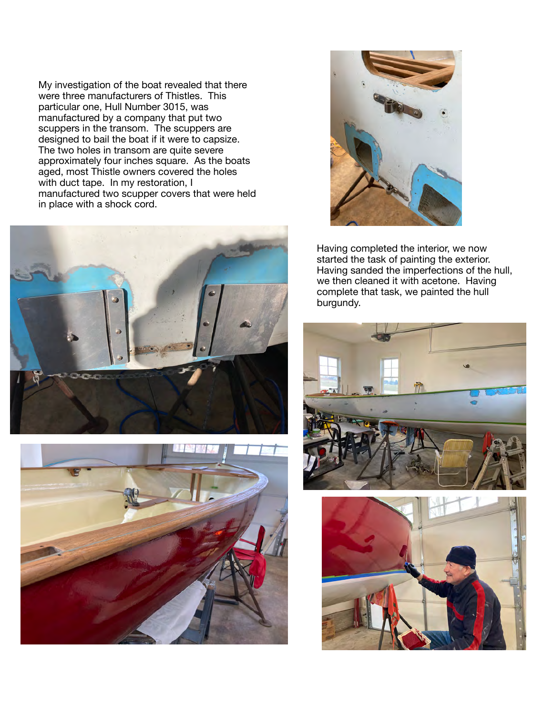My investigation of the boat revealed that there were three manufacturers of Thistles. This particular one, Hull Number 3015, was manufactured by a company that put two scuppers in the transom. The scuppers are designed to bail the boat if it were to capsize. The two holes in transom are quite severe approximately four inches square. As the boats aged, most Thistle owners covered the holes with duct tape. In my restoration, I manufactured two scupper covers that were held in place with a shock cord.







Having completed the interior, we now started the task of painting the exterior. Having sanded the imperfections of the hull, we then cleaned it with acetone. Having complete that task, we painted the hull burgundy.



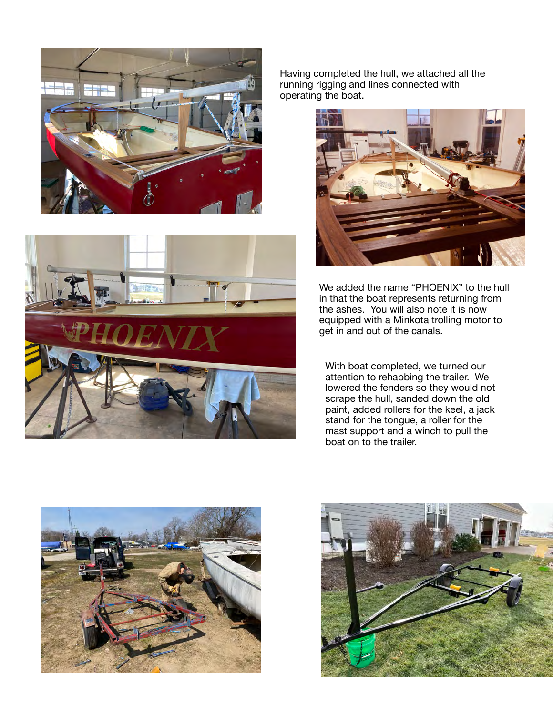



Having completed the hull, we attached all the running rigging and lines connected with operating the boat.



We added the name "PHOENIX" to the hull in that the boat represents returning from the ashes. You will also note it is now equipped with a Minkota trolling motor to get in and out of the canals.

With boat completed, we turned our attention to rehabbing the trailer. We lowered the fenders so they would not scrape the hull, sanded down the old paint, added rollers for the keel, a jack stand for the tongue, a roller for the mast support and a winch to pull the boat on to the trailer.